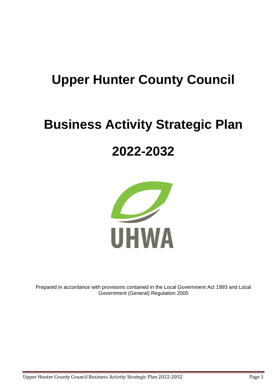# **Upper Hunter County Council**

# **Business Activity Strategic Plan**

# **2022-2032**



Prepared in accordance with provisions contained in the Local Government Act 1993 and Local Government (General) Regulation 2005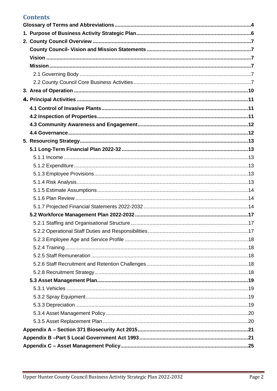### **Contents**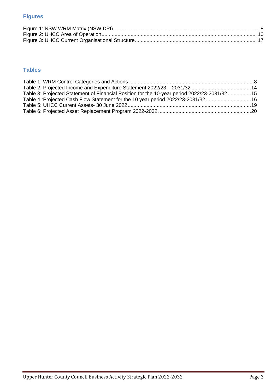### **Figures**

### **Tables**

| Table 3: Projected Statement of Financial Position for the 10-year period 2022/23-2031/3215 |  |
|---------------------------------------------------------------------------------------------|--|
| 16. Table 4: Projected Cash Flow Statement for the 10 year period 2022/23-2031/3216         |  |
|                                                                                             |  |
|                                                                                             |  |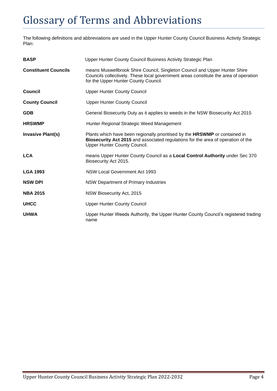# <span id="page-3-0"></span>Glossary of Terms and Abbreviations

The following definitions and abbreviations are used in the Upper Hunter County Council Business Activity Strategic Plan:

| <b>BASP</b>                 | Upper Hunter County Council Business Activity Strategic Plan                                                                                                                                               |
|-----------------------------|------------------------------------------------------------------------------------------------------------------------------------------------------------------------------------------------------------|
| <b>Constituent Councils</b> | means Muswellbrook Shire Council, Singleton Council and Upper Hunter Shire<br>Councils collectively. These local government areas constitute the area of operation<br>for the Upper Hunter County Council. |
| Council                     | <b>Upper Hunter County Council</b>                                                                                                                                                                         |
| <b>County Council</b>       | <b>Upper Hunter County Council</b>                                                                                                                                                                         |
| <b>GDB</b>                  | General Biosecurity Duty as it applies to weeds in the NSW Biosecurity Act 2015                                                                                                                            |
| <b>HRSWMP</b>               | Hunter Regional Strategic Weed Management                                                                                                                                                                  |
| <b>Invasive Plant(s)</b>    | Plants which have been regionally prioritised by the HRSWMP or contained in<br>Biosecurity Act 2015 and associated regulations for the area of operation of the<br>Upper Hunter County Council.            |
| <b>LCA</b>                  | means Upper Hunter County Council as a Local Control Authority under Sec 370<br>Biosecurity Act 2015.                                                                                                      |
| <b>LGA 1993</b>             | NSW Local Government Act 1993                                                                                                                                                                              |
| <b>NSW DPI</b>              | NSW Department of Primary Industries                                                                                                                                                                       |
| <b>NBA 2015</b>             | NSW Biosecurity Act, 2015                                                                                                                                                                                  |
| <b>UHCC</b>                 | <b>Upper Hunter County Council</b>                                                                                                                                                                         |
| <b>UHWA</b>                 | Upper Hunter Weeds Authority, the Upper Hunter County Council's registered trading<br>name                                                                                                                 |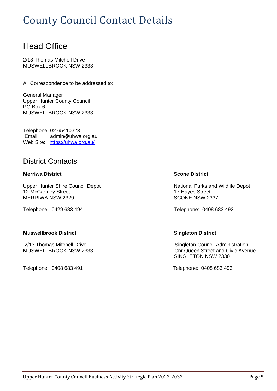### Head Office

2/13 Thomas Mitchell Drive MUSWELLBROOK NSW 2333

All Correspondence to be addressed to:

General Manager Upper Hunter County Council PO Box 6 MUSWELLBROOK NSW 2333

Telephone: 02 65410323 Email: admin@uhwa.org.au Web Site: <https://uhwa.org.au/>

### District Contacts

#### **Merriwa District Scone District**

Upper Hunter Shire Council Depot National Parks and Wildlife Depot 12 McCartney Street.<br>
MERRIWA NSW 2329 17 Hayes Street.<br>
17 Hayes Street. MERRIWA NSW 2329

#### **Muswellbrook District Singleton District**

Telephone: 0408 683 491 Telephone: 0408 683 493

Telephone: 0429 683 494 Telephone: 0408 683 492

2/13 Thomas Mitchell Drive **Singleton Council Administration** MUSWELLBROOK NSW 2333 COME Conr Queen Street and Civic Avenue SINGLETON NSW 2330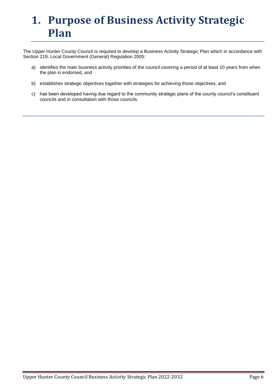# <span id="page-5-0"></span>**1. Purpose of Business Activity Strategic Plan**

The Upper Hunter County Council is required to develop a Business Activity Strategic Plan which in accordance with Section 219, Local Government (General) Regulation 2005:

- a) identifies the main business activity priorities of the council covering a period of at least 10 years from when the plan is endorsed, and
- b) establishes strategic objectives together with strategies for achieving those objectives, and
- c) has been developed having due regard to the community strategic plans of the county council's constituent councils and in consultation with those councils.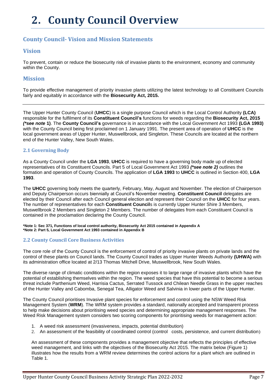# <span id="page-6-0"></span>**2. County Council Overview**

### <span id="page-6-1"></span>**County Council- Vision and Mission Statements**

### <span id="page-6-2"></span>**Vision**

To prevent, contain or reduce the biosecurity risk of invasive plants to the environment, economy and community within the County.

#### <span id="page-6-3"></span>**Mission**

To provide effective management of priority invasive plants utilizing the latest technology to all Constituent Councils fairly and equitably in accordance with the **Biosecurity Act, 2015.**

The Upper Hunter County Council (**UHCC**) is a single purpose Council which is the Local Control Authority **(LCA)** responsible for the fulfilment of its **Constituent Council's** functions for weeds regarding the **Biosecurity Act, 2015** *(\*see note* **1)**. The **County Council's** governance is in accordance with the Local Government Act 1993 **(LGA 1993)** with the County Council being first proclaimed on 1 January 1991. The present area of operation of **UHCC** is the local government areas of Upper Hunter, Muswellbrook, and Singleton. These Councils are located at the northern end of the Hunter Valley, New South Wales.

#### <span id="page-6-4"></span>**2.1 Governing Body**

As a County Council under the **LGA 1993**, **UHCC** is required to have a governing body made up of elected representatives of its Constituent Councils. Part 5 of Local Government Act 1993 *(\*see note 2)* outlines the formation and operation of County Councils. The application of **LGA 1993** to **UHCC** is outlined in Section 400, **LGA 1993**.

The **UHCC** governing body meets the quarterly, February, May, August and November. The election of Chairperson and Deputy Chairperson occurs biennially at Council's November meeting. **Constituent Council** delegates are elected by their Council after each Council general election and represent their Council on the **UHCC** for four years. The number of representatives for each **Constituent Council**s is currently Upper Hunter Shire 3 Members, Muswellbrook 2 Members and Singleton 2 Members. The number of delegates from each Constituent Council is contained in the proclamation declaring the County Council.

#### **\*Note 1: Sec 371, Functions of local control authority, Biosecurity Act 2015 contained in Appendix A \*Note 2: Part 5, Local Government Act 1993 contained in Appendix B**

#### <span id="page-6-5"></span>**2.2 County Council Core Business Activities**

The core role of the County Council is the enforcement of control of priority invasive plants on private lands and the control of these plants on Council lands. The County Council trades as Upper Hunter Weeds Authority **(UHWA)** with its administration office located at 2/13 Thomas Mitchell Drive, Muswellbrook, New South Wales.

The diverse range of climatic conditions within the region exposes it to large range of invasive plants which have the potential of establishing themselves within the region. The weed species that have this potential to become a serious threat include Parthenium Weed, Harrisia Cactus, Serrated Tussock and Chilean Needle Grass in the upper reaches of the Hunter Valley and Cabomba, Senegal Tea, Alligator Weed and Salvinia in lower parts of the Upper Hunter.

The County Council prioritises Invasive plant species for enforcement and control using the NSW Weed Risk Management System (**WRM**). The WRM system provides a standard, nationally accepted and transparent process to help make decisions about prioritising weed species and determining appropriate management responses. The Weed Risk Management system considers two scoring components for prioritising weeds for management action:

- 1. A weed risk assessment (invasiveness, impacts, potential distribution)
- 2. An assessment of the feasibility of coordinated control (control costs, persistence, and current distribution)

An assessment of these components provides a management objective that reflects the principles of effective weed management, and links with the objectives of the Biosecurity Act 2015. The matrix below (Figure 1) illustrates how the results from a WRM review determines the control actions for a plant which are outlined in Table 1.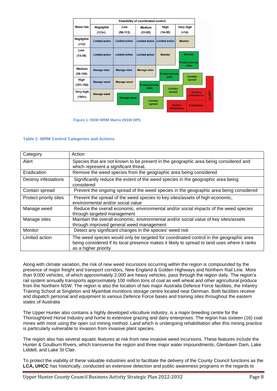|                       |                               |                       | <b>Feasibility of coordinated control</b> |                         |                                           |                                       |              |
|-----------------------|-------------------------------|-----------------------|-------------------------------------------|-------------------------|-------------------------------------------|---------------------------------------|--------------|
| <b>Weed risk</b>      | <b>Negligible</b><br>$(113+)$ | Low<br>$(56-113)$     | <b>Medium</b><br>$(31-55)$                | High<br>$(14-30)$       | Very high<br>( < 14)                      |                                       |              |
| Negligible<br>( < 13) | <b>Limited action</b>         | <b>Limited action</b> | <b>Limited action</b>                     | <b>Limited action</b>   | <b>Monitor</b>                            |                                       |              |
| Low<br>$(13-38)$      | <b>Limited action</b>         | <b>Limited action</b> | <b>Limited action</b>                     | <b>Monitor</b>          | <b>Monitor</b><br><b>Protect priority</b> |                                       |              |
| Medium<br>$(39-100)$  | <b>Manage sites</b>           | <b>Manage sites</b>   | <b>Manage sites</b>                       | <b>Protect priority</b> | <b>sites</b><br>Contain                   |                                       |              |
| High<br>$(101-192)$   | <b>Manage weed</b>            | <b>Manage weed</b>    | <b>Protect priority</b><br><b>sites</b>   | <b>sites</b>            | spread                                    |                                       |              |
| Very high<br>$(193+)$ | <b>Manage weed</b>            | <b>Manage weed</b>    |                                           | Contain<br>spread       |                                           | <b>Destroy</b><br><b>infestations</b> | <b>ALERT</b> |
|                       |                               |                       | Contain<br>spread                         |                         | <b>Destroy</b><br><b>infestations</b>     | <b>Eradication</b>                    |              |

**Figure 1: NSW WRM Matrix (NSW DPI)**

#### <span id="page-7-0"></span>**Table 1: WRM Control Categories and Actions**

| Category               | Action                                                                                                                                                                                                         |
|------------------------|----------------------------------------------------------------------------------------------------------------------------------------------------------------------------------------------------------------|
| Alert                  | Species that are not known to be present in the geographic area being considered and<br>which represent a significant threat.                                                                                  |
| Eradication            | Remove the weed species from the geographic area being considered                                                                                                                                              |
| Destroy infestations   | Significantly reduce the extent of the weed species in the geographic area being<br>considered                                                                                                                 |
| Contain spread         | Prevent the ongoing spread of the weed species in the geographic area being considered                                                                                                                         |
| Protect priority sites | Prevent the spread of the weed species to key sites/assets of high economic,<br>environmental and/or social value                                                                                              |
| Manage weed            | Reduce the overall economic, environmental and/or social impacts of the weed species<br>through targeted management                                                                                            |
| Manage sites           | Maintain the overall economic, environmental and/or social value of key sites/assets<br>through improved general weed management                                                                               |
| Monitor                | Detect any significant changes in the species' weed risk                                                                                                                                                       |
| Limited action         | The weed species would only be targeted for coordinated control in the geographic area<br>being considered if its local presence makes it likely to spread to land uses where it ranks<br>as a higher priority |

Along with climate variation, the risk of new weed incursions occurring within the region is compounded by the presence of major freight and transport corridors, New England & Golden Highways and Northern Rail Line. More than 9,000 vehicles, of which approximately 2,000 are heavy vehicles, pass through the region daily. The region's rail system annually transports approximately 100 million tons of coal as well wheat and other agricultural produce from the Northern NSW. The region is also the location of two major Australia Defence Force facilities, the Infantry Training School at Singleton and Myambat munitions storage centre located near Denman. Both facilities receive and dispatch personal and equipment to various Defence Force bases and training sites throughout the eastern states of Australia

The Upper Hunter also contains a highly developed viticulture industry, is a major breeding centre for the Thoroughbred Horse Industry and home to extensive grazing and dairy enterprises. The region has sixteen (16) coal mines with most using the open cut mining method. Land which is undergoing rehabilitation after this mining practice is particularly vulnerable to invasion from invasive plant species.

The region also has several aquatic features at risk from new invasive weed incursions. These features include the Hunter & Goulburn Rivers, which transverse the region and three major water impoundments, Glenbawn Dam, Lake Liddell, and Lake St Clair.

To protect the viability of these valuable industries and to facilitate the delivery of the County Council functions as the **LCA, UHCC** has historically, conducted an extensive detection and public awareness programs in the regards to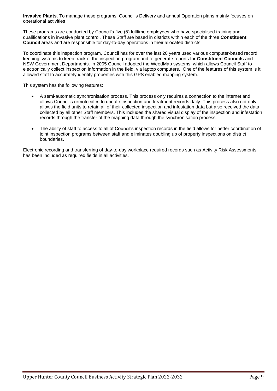**Invasive Plants**. To manage these programs, Council's Delivery and annual Operation plans mainly focuses on operational activities

These programs are conducted by Council's five (5) fulltime employees who have specialised training and qualifications in invasive plant control. These Staff are based in districts within each of the three **Constituent Council** areas and are responsible for day-to-day operations in their allocated districts.

To coordinate this inspection program, Council has for over the last 20 years used various computer-based record keeping systems to keep track of the inspection program and to generate reports for **Constituent Councils** and NSW Government Departments. In 2005 Council adopted the WeedMap systems, which allows Council Staff to electronically collect inspection information in the field, via laptop computers. One of the features of this system is it allowed staff to accurately identify properties with this GPS enabled mapping system.

This system has the following features:

- A semi-automatic synchronisation process. This process only requires a connection to the internet and allows Council's remote sites to update inspection and treatment records daily. This process also not only allows the field units to retain all of their collected inspection and infestation data but also received the data collected by all other Staff members. This includes the shared visual display of the inspection and infestation records through the transfer of the mapping data through the synchronisation process.
- The ability of staff to access to all of Council's inspection records in the field allows for better coordination of joint inspection programs between staff and eliminates doubling up of property inspections on district boundaries.

Electronic recording and transferring of day-to-day workplace required records such as Activity Risk Assessments has been included as required fields in all activities.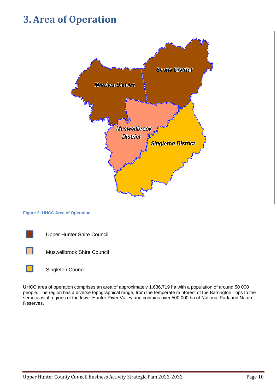## <span id="page-9-0"></span>**3.Area of Operation**



#### **Figure 2: UHCC Area of Operation**





**UHCC** area of operation comprises an area of approximately 1,636,719 ha with a population of around 50 000 people. The region has a diverse topographical range, from the temperate rainforest of the Barrington Tops to the semi-coastal regions of the lower Hunter River Valley and contains over 500,000 ha of National Park and Nature Reserves.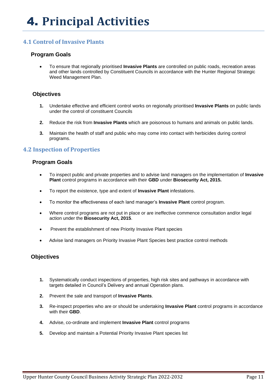### <span id="page-10-1"></span><span id="page-10-0"></span>**4.1 Control of Invasive Plants**

#### **Program Goals**

• To ensure that regionally prioritised **Invasive Plants** are controlled on public roads, recreation areas and other lands controlled by Constituent Councils in accordance with the Hunter Regional Strategic Weed Management Plan.

#### **Objectives**

- **1.** Undertake effective and efficient control works on regionally prioritised **Invasive Plants** on public lands under the control of constituent Councils
- **2.** Reduce the risk from **Invasive Plants** which are poisonous to humans and animals on public lands.
- **3.** Maintain the health of staff and public who may come into contact with herbicides during control programs.

#### <span id="page-10-2"></span>**4.2 Inspection of Properties**

#### **Program Goals**

- To inspect public and private properties and to advise land managers on the implementation of **Invasive Plant** control programs in accordance with their **GBD** under **Biosecurity Act, 2015.**
- To report the existence, type and extent of **Invasive Plant** infestations.
- To monitor the effectiveness of each land manager's **Invasive Plant** control program.
- Where control programs are not put in place or are ineffective commence consultation and/or legal action under the **Biosecurity Act, 2015**.
- Prevent the establishment of new Priority Invasive Plant species
- Advise land managers on Priority Invasive Plant Species best practice control methods

#### **Objectives**

- **1.** Systematically conduct inspections of properties, high risk sites and pathways in accordance with targets detailed in Council's Delivery and annual Operation plans.
- **2.** Prevent the sale and transport of **Invasive Plants**.
- **3.** Re-inspect properties who are or should be undertaking **Invasive Plant** control programs in accordance with their **GBD**.
- **4.** Advise, co-ordinate and implement **Invasive Plant** control programs
- **5.** Develop and maintain a Potential Priority Invasive Plant species list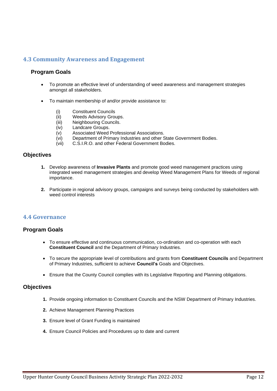### <span id="page-11-0"></span>**4.3 Community Awareness and Engagement**

#### **Program Goals**

- To promote an effective level of understanding of weed awareness and management strategies amongst all stakeholders.
- To maintain membership of and/or provide assistance to:
	- (i) Constituent Councils<br>(ii) Weeds Advisory Gro
	- Weeds Advisory Groups.
	- (iii) Neighbouring Councils.
	- (iv) Landcare Groups.
	- (v) Associated Weed Professional Associations.
	- (vi) Department of Primary Industries and other State Government Bodies.
	- (vii) C.S.I.R.O. and other Federal Government Bodies.

#### **Objectives**

- **1.** Develop awareness of **Invasive Plants** and promote good weed management practices using integrated weed management strategies and develop Weed Management Plans for Weeds of regional importance.
- **2.** Participate in regional advisory groups, campaigns and surveys being conducted by stakeholders with weed control interests

#### <span id="page-11-1"></span>**4.4 Governance**

#### **Program Goals**

- To ensure effective and continuous communication, co-ordination and co-operation with each **Constituent Council** and the Department of Primary Industries.
- To secure the appropriate level of contributions and grants from **Constituent Councils** and Department of Primary Industries, sufficient to achieve **Council's** Goals and Objectives.
- Ensure that the County Council complies with its Legislative Reporting and Planning obligations.

#### **Objectives**

- **1.** Provide ongoing information to Constituent Councils and the NSW Department of Primary Industries.
- **2.** Achieve Management Planning Practices
- **3.** Ensure level of Grant Funding is maintained
- **4.** Ensure Council Policies and Procedures up to date and current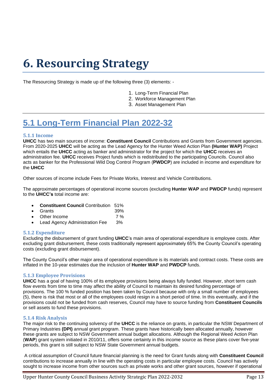# <span id="page-12-0"></span>**6. Resourcing Strategy**

The Resourcing Strategy is made up of the following three (3) elements: -

- 1. Long-Term Financial Plan
- 2. Workforce Management Plan
- 3. Asset Management Plan

### <span id="page-12-1"></span>**5.1 Long-Term Financial Plan 2022-32**

#### <span id="page-12-2"></span>**5.1.1 Income**

**UHCC** has two main sources of income: **Constituent Council** Contributions and Grants from Government agencies. From 2020-2025 **UHCC** will be acting as the Lead Agency for the Hunter Weed Action Plan **(Hunter WAP)** Project which entails the **UHCC** acting as banker and administrator for the project for which the **UHCC** receives an administration fee. **UHCC** receives Project funds which is redistributed to the participating Councils. Council also acts as banker for the Professional Wild Dog Control Program (**PWDCP**) are included in income and expenditure for the **UHCC**

Other sources of income include Fees for Private Works, Interest and Vehicle Contributions.

The approximate percentages of operational income sources (excluding **Hunter WAP** and **PWDCP** funds) represent to the **UHCC's** total income are:

- **Constituent Council** Contribution 51%
- Grants 39%
- Other Income 7 %
- Lead Agency Administration Fee 3%

#### <span id="page-12-3"></span>**5.1.2 Expenditure**

Excluding the disbursement of grant funding **UHCC**'s main area of operational expenditure is employee costs. After excluding grant disbursement, these costs traditionally represent approximately 65% the County Council's operating costs (excluding grant disbursement).

The County Council's other major area of operational expenditure is its materials and contract costs. These costs are inflated in the 10-year estimates due the inclusion of **Hunter WAP** and **PWDCP** funds.

#### <span id="page-12-4"></span>**5.1.3 Employee Provisions**

**UHCC** has a goal of having 100% of its employee provisions being always fully funded. However, short term cash flow events from time to time may affect the ability of Council to maintain its desired funding percentage of provisions. The 100 % funded position has been taken by Council because with only a small number of employees (5), there is risk that most or all of the employees could resign in a short period of time. In this eventually, and if the provisions could not be funded from cash reserves, Council may have to source funding from **Constituent Councils** or sell assets to fund these provisions.

#### <span id="page-12-5"></span>**5.1.4 Risk Analysis**

The major risk to the continuing solvency of the **UHCC** is the reliance on grants, in particular the NSW Department of Primary Industries **(DPI)** annual grant program. These grants have historically been allocated annually, however these grants are subject to NSW Government annual budget allocations. Although the Regional Weed Action Plan (**WAP**) grant system initiated in 2010/11, offers some certainty in this income source as these plans cover five-year periods, this grant is still subject to NSW State Government annual budgets.

A critical assumption of Council future financial planning is the need for Grant funds along with **Constituent Council** contributions to increase annually in line with the operating costs in particular employee costs. Council has actively sought to increase income from other sources such as private works and other grant sources, however if operational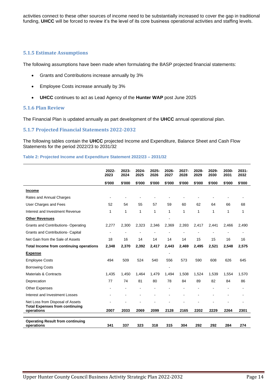activities connect to these other sources of income need to be substantially increased to cover the gap in traditional funding, **UHCC** will be forced to review it's the level of its core business operational activities and staffing levels.

#### <span id="page-13-0"></span>**5.1.5 Estimate Assumptions**

The following assumptions have been made when formulating the BASP projected financial statements:

- Grants and Contributions increase annually by 3%
- Employee Costs increase annually by 3%
- **UHCC** continues to act as Lead Agency of the **Hunter WAP** post June 2025

#### <span id="page-13-1"></span>**5.1.6 Plan Review**

The Financial Plan is updated annually as part development of the **UHCC** annual operational plan.

#### <span id="page-13-2"></span>**5.1.7 Projected Financial Statements 2022-2032**

The following tables contain the **UHCC** projected Income and Expenditure, Balance Sheet and Cash Flow Statements for the period 2022/23 to 2031/32

#### <span id="page-13-3"></span>**Table 2: Projected Income and Expenditure Statement 2022/23 – 2031/32**

|                                                                           | 2022-<br>2023  | 2023-<br>2024 | 2024-<br>2025  | 2025-<br>2026 | 2026-<br>2027 | 2027-<br>2028 | 2028-<br>2029 | 2029-<br>2030 | 2030-<br>2031  | 2031-<br>2032  |
|---------------------------------------------------------------------------|----------------|---------------|----------------|---------------|---------------|---------------|---------------|---------------|----------------|----------------|
|                                                                           | \$'000         | \$'000        | \$'000         | \$'000        | \$'000        | \$'000        | \$'000        | \$'000        | \$'000         | \$'000         |
| <b>Income</b>                                                             |                |               |                |               |               |               |               |               |                |                |
| Rates and Annual Charges                                                  |                |               |                |               |               |               |               |               |                |                |
| User Charges and Fees                                                     | 52             | 54            | 55             | 57            | 59            | 60            | 62            | 64            | 66             | 68             |
| Interest and Investment Revenue                                           | 1              | 1             | $\mathbf{1}$   | 1             | 1             | 1             | $\mathbf{1}$  | 1             | 1              | 1              |
| <b>Other Revenues</b>                                                     |                |               |                |               |               |               |               |               |                |                |
| <b>Grants and Contributions- Operating</b>                                | 2,277          | 2,300         | 2,323          | 2,346         | 2,369         | 2,393         | 2,417         | 2,441         | 2,466          | 2,490          |
| Grants and Contributions- Capital                                         | $\overline{a}$ |               | ä,             |               |               |               |               |               |                | ÷.             |
| Net Gain from the Sale of Assets                                          | 18             | 16            | 14             | 14            | 14            | 14            | 15            | 15            | 16             | 16             |
| Total Income from continuing operations                                   | 2,348          | 2,370         | 2,392          | 2,417         | 2,443         | 2,469         | 2,495         | 2,521         | 2,548          | 2,575          |
| <b>Expense</b>                                                            |                |               |                |               |               |               |               |               |                |                |
| <b>Employee Costs</b>                                                     | 494            | 509           | 524            | 540           | 556           | 573           | 590           | 608           | 626            | 645            |
| <b>Borrowing Costs</b>                                                    |                |               |                |               |               |               |               |               |                |                |
| <b>Materials &amp; Contracts</b>                                          | 1,435          | 1,450         | 1,464          | 1,479         | 1,494         | 1,508         | 1,524         | 1,539         | 1,554          | 1,570          |
| Deprecation                                                               | 77             | 74            | 81             | 80            | 78            | 84            | 89            | 82            | 84             | 86             |
| <b>Other Expenses</b>                                                     |                |               | $\blacksquare$ |               |               |               |               |               | $\blacksquare$ | $\blacksquare$ |
| Interest and Investment Losses                                            |                |               |                |               |               |               |               |               |                |                |
| Net Loss from Disposal of Assets<br><b>Total Expenses from continuing</b> |                |               |                |               |               |               |               |               |                |                |
| operations                                                                | 2007           | 2033          | 2069           | 2099          | 2128          | 2165          | 2202          | 2229          | 2264           | 2301           |
| <b>Operating Result from continuing</b><br>operations                     | 341            | 337           | 323            | 318           | 315           | 304           | 292           | 292           | 284            | 274            |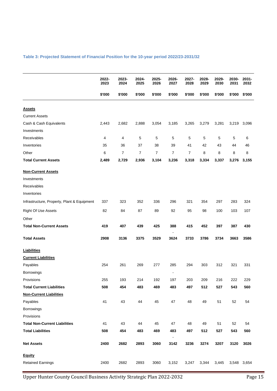#### <span id="page-14-0"></span>**Table 3: Projected Statement of Financial Position for the 10-year period 2022/23-2031/32**

|                                             | 2022-<br>2023 | 2023-<br>2024 | 2024-<br>2025 | 2025-<br>2026  | 2026-<br>2027          | 2027-<br>2028 | 2028-<br>2029 | 2029-<br>2030 | 2030-<br>2031 | 2031-<br>2032 |
|---------------------------------------------|---------------|---------------|---------------|----------------|------------------------|---------------|---------------|---------------|---------------|---------------|
|                                             | \$'000        | \$'000        | \$'000        | \$'000         | \$'000                 | \$'000        | \$'000        | \$'000        | \$'000        | \$'000        |
| <b>Assets</b>                               |               |               |               |                |                        |               |               |               |               |               |
| <b>Current Assets</b>                       |               |               |               |                |                        |               |               |               |               |               |
| Cash & Cash Equivalents                     | 2,443         | 2,682         | 2,888         | 3,054          | 3,185                  | 3,265         | 3,279         | 3,281         | 3,219         | 3,096         |
| Investments                                 |               |               |               |                |                        |               |               |               |               |               |
| Receivables                                 | 4             | 4             | 5             | 5              | 5                      | 5             | 5             | 5             | 5             | 6             |
| Inventories                                 | 35            | 36            | 37            | 38             | 39                     | 41            | 42            | 43            | 44            | 46            |
| Other                                       | 6             | 7             | 7             | $\overline{7}$ | 7                      | 7             | 8             | 8             | 8             | 8             |
| <b>Total Current Assets</b>                 | 2,489         | 2,729         | 2,936         | 3,104          | 3,236                  | 3,318         | 3,334         | 3,337         | 3,276         | 3,155         |
| <b>Non-Current Assets</b>                   |               |               |               |                |                        |               |               |               |               |               |
| Investments                                 |               |               |               |                |                        |               |               |               |               |               |
| Receivables                                 |               |               |               |                |                        |               |               |               |               |               |
| Inventories                                 |               |               |               |                |                        |               |               |               |               |               |
| Infrastructure, Property, Plant & Equipment | 337           | 323           | 352           | 336            | 296                    | 321           | 354           | 297           | 283           | 324           |
| <b>Right Of Use Assets</b>                  | 82            | 84            | 87            | 89             | 92                     | 95            | 98            | 100           | 103           | 107           |
| Other                                       |               |               |               |                |                        |               |               |               |               |               |
| <b>Total Non-Current Assets</b>             | 419           | 407           | 439           | 425            | 388                    | 415           | 452           | 397           | 387           | 430           |
| <b>Total Assets</b>                         | 2908          | 3136          | 3375          | 3529           | 3624                   | 3733          | 3786          | 3734          | 3663          | 3586          |
| <b>Liabilities</b>                          |               |               |               |                |                        |               |               |               |               |               |
| <b>Current Liabilities</b>                  |               |               |               |                |                        |               |               |               |               |               |
| Payables                                    | 254           | 261           | 269           | 277            | 285                    | 294           | 303           | 312           | 321           | 331           |
| Borrowings                                  |               |               |               |                |                        |               |               |               |               |               |
| Provisions                                  | 255           | 193           | 214           | 192            | 197                    | 203           | 209           | 216           | 222           | 229           |
| <b>Total Current Liabilities</b>            | 508           | 454           | 483           | 469            | 483                    | 497           | 512           | 527           | 543           | 560           |
| <b>Non-Current Liabilities</b>              |               |               |               |                |                        |               |               |               |               |               |
| Payables                                    | 41            | 43            | 44            | 45             | 47                     | 48            | 49            | 51            | 52            | 54            |
| Borrowings                                  |               |               |               |                |                        |               |               |               |               |               |
| Provisions                                  |               |               |               |                |                        |               |               |               |               |               |
| <b>Total Non-Current Liabilities</b>        | 41            | 43            | 44            | 45             | 47                     | 48            | 49            | 51            | 52            | 54            |
| <b>Total Liabilities</b>                    | 508           | 454           | 483           | 469            | 483                    | 497           | 512           | 527           | 543           | 560           |
| <b>Net Assets</b>                           | 2400          | 2682          | 2893          | 3060           | $\blacksquare$<br>3142 | 3236          | 3274          | 3207          | 3120          | 3026          |
| <b>Equity</b>                               |               |               |               |                |                        |               |               |               |               |               |
| <b>Retained Earnings</b>                    | 2400          | 2682          | 2893          | 3060           | 3,152                  | 3,247         | 3,344         | 3,445         | 3,548         | 3,654         |

Upper Hunter County Council Business Activity Strategic Plan 2022-2032 Page 15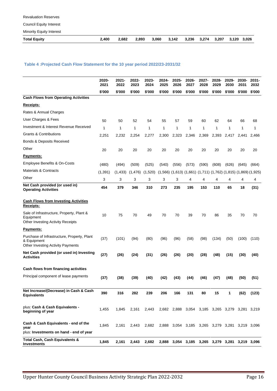Council Equity Interest

Minority Equity Interest

| <b>Total Equity</b> | 2,400 2,682 2,893 3,060 3,142 3,236 3,274 3,207 3,120 3,026 |  |  |  |  |  |
|---------------------|-------------------------------------------------------------|--|--|--|--|--|

#### <span id="page-15-0"></span>**Table 4 :Projected Cash Flow Statement for the 10 year period 2022/23-2031/32**

|                                                                                                        | 2020-<br>2021 | 2021-<br>2022 | 2022-<br>2023 | 2023-<br>2024 | 2024-<br>2025 | 2025-<br>2026 | 2026-<br>2027 | 2027-<br>2028                                                                   | 2028-<br>2029                 | 2029-<br>2030 | 2030-<br>2031 | $2031 -$<br>2032 |
|--------------------------------------------------------------------------------------------------------|---------------|---------------|---------------|---------------|---------------|---------------|---------------|---------------------------------------------------------------------------------|-------------------------------|---------------|---------------|------------------|
|                                                                                                        | \$'000        | \$'000        | \$'000        | \$'000        | \$'000        | \$'000        | \$'000        | \$'000                                                                          | \$'000                        | \$'000        | \$'000        | \$'000           |
| <b>Cash Flows from Operating Activities</b>                                                            |               |               |               |               |               |               |               |                                                                                 |                               |               |               |                  |
| Receipts:                                                                                              |               |               |               |               |               |               |               |                                                                                 |                               |               |               |                  |
| Rates & Annual Charges                                                                                 |               |               |               |               |               |               |               |                                                                                 |                               |               |               |                  |
| User Charges & Fees                                                                                    | 50            | 50            | 52            | 54            | 55            | 57            | 59            | 60                                                                              | 62                            | 64            | 66            | 68               |
| Investment & Interest Revenue Received                                                                 | 1             | 1             | 1             | 1             | 1             | 1             | 1             | 1                                                                               | 1                             | 1             | 1             | 1                |
| <b>Grants &amp; Contributions</b>                                                                      | 2,251         | 2,232         | 2,254         | 2,277         | 2,300         | 2,323         | 2,346         | 2,369                                                                           | 2,393                         | 2,417         | 2,441         | 2,466            |
| <b>Bonds &amp; Deposits Received</b>                                                                   |               |               |               |               |               |               |               |                                                                                 |                               |               |               |                  |
| Other                                                                                                  | 20            | 20            | 20            | 20            | 20            | 20            | 20            | 20                                                                              | 20                            | 20            | 20            | 20               |
| Payments:                                                                                              |               |               |               |               |               |               |               |                                                                                 |                               |               |               |                  |
| Employee Benefits & On-Costs                                                                           | (480)         | (494)         | (509)         | (525)         | (540)         | (556)         | (573)         | (590)                                                                           | (608)                         | (626)         | (645)         | (664)            |
| <b>Materials &amp; Contracts</b>                                                                       | (1, 391)      | (1, 433)      | (1,476)       | (1,520)       |               |               |               | $(1,566)$ $(1,613)$ $(1,661)$ $(1,711)$ $(1,762)$ $(1,815)$ $(1,869)$ $(1,925)$ |                               |               |               |                  |
| Other                                                                                                  | 3             | 3             | 3             | 3             | 3             | 3             | 4             | 4                                                                               | 4                             | 4             | 4             | 4                |
| Net Cash provided (or used in)<br><b>Operating Activities</b>                                          | 454           | 379           | 346           | 310           | 273           | 235           | 195           | 153                                                                             | 110                           | 65            | 18            | (31)             |
| <b>Cash Flows from Investing Activities</b><br>Receipts:                                               |               |               |               |               |               |               |               |                                                                                 |                               |               |               |                  |
| Sale of Infrastructure, Property, Plant &<br>Equipment<br>Other Investing Activity Receipts            | 10            | 75            | 70            | 49            | 70            | 70            | 39            | 70                                                                              | 86                            | 35            | 70            | 70               |
| <b>Payments:</b>                                                                                       |               |               |               |               |               |               |               |                                                                                 |                               |               |               |                  |
| Purchase of Infrastructure, Property, Plant<br>& Equipment<br><b>Other Investing Activity Payments</b> | (37)          | (101)         | (94)          | (80)          | (96)          | (96)          | (58)          | (98)                                                                            | (134)                         | (50)          | (100)         | (110)            |
| Net Cash provided (or used in) Investing<br><b>Activities</b>                                          | (27)          | (26)          | (24)          | (31)          | (26)          | (26)          | (20)          | (28)                                                                            | (48)                          | (15)          | (30)          | (40)             |
| Cash flows from financing activities                                                                   |               |               |               |               |               |               |               |                                                                                 |                               |               |               |                  |
| Principal component of lease payments                                                                  | (37)          | (38)          | (39)          | (40)          | (42)          | (43)          | (44)          | (46)                                                                            | (47)                          | (48)          | (50)          | (51)             |
| Net Increase/(Decrease) in Cash & Cash<br><b>Equivalents</b>                                           | 390           | 316           | 282           | 239           | 206           | 166           | 131           | 80                                                                              | 15                            | 1             | (62)          | (123)            |
| plus: Cash & Cash Equivalents -<br>beginning of year                                                   | 1,455         | 1,845         | 2,161         | 2,443         |               | 2,682 2,888   | 3,054         |                                                                                 | 3,185 3,265 3,279 3,281 3,219 |               |               |                  |
| Cash & Cash Equivalents - end of the<br>year<br>plus: Investments on hand - end of year                | 1,845         | 2,161         | 2,443         | 2,682         | 2,888         | 3,054         |               | 3,185 3,265 3,279 3,281 3,219 3,096                                             |                               |               |               |                  |
| Total Cash, Cash Equivalents &<br><b>Investments</b>                                                   | 1,845         | 2,161         | 2,443         | 2,682         |               |               |               | 2,888 3,054 3,185 3,265 3,279 3,281 3,219 3,096                                 |                               |               |               |                  |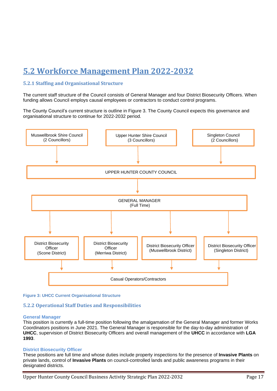### <span id="page-16-0"></span>**5.2 Workforce Management Plan 2022-2032**

#### <span id="page-16-1"></span>**5.2.1 Staffing and Organisational Structure**

The current staff structure of the Council consists of General Manager and four District Biosecurity Officers. When funding allows Council employs causal employees or contractors to conduct control programs.

The County Council's current structure is outline in Figure 3. The County Council expects this governance and organisational structure to continue for 2022-2032 period.



#### **Figure 3: UHCC Current Organisational Structure**

#### <span id="page-16-2"></span>**5.2.2 Operational Staff Duties and Responsibilities**

#### **General Manager**

This position is currently a full-time position following the amalgamation of the General Manager and former Works Coordinators positions in June 2021. The General Manager is responsible for the day-to-day administration of **UHCC**, supervision of District Biosecurity Officers and overall management of the **UHCC** in accordance with **LGA 1993**.

#### **District Biosecurity Officer**

These positions are full time and whose duties include property inspections for the presence of **Invasive Plants** on private lands, control of **Invasive Plants** on council-controlled lands and public awareness programs in their designated districts.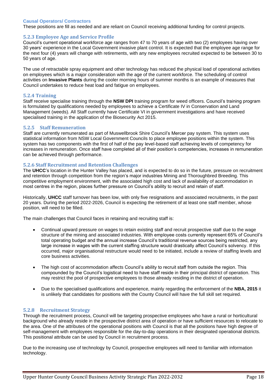#### **Causal Operators/ Contractors**

These positions are fill as needed and are reliant on Council receiving additional funding for control projects.

#### <span id="page-17-0"></span>**5.2.3 Employee Age and Service Profile**

Council's current operational workforce age ranges from 47 to 70 years of age with two (2) employees having over 30 years' experience in the Local Government invasive plant control. It is expected that the employee age range for the next four (4) years will change with retirements, with any new employees recruited expected to be between 30 to 50 years of age.

The use of retractable spray equipment and other technology has reduced the physical load of operational activities on employees which is a major consideration with the age of the current workforce. The scheduling of control activities on **Invasive Plants** during the cooler morning hours of summer months is an example of measures that Council undertakes to reduce heat load and fatigue on employees.

#### <span id="page-17-1"></span>**5.2.4 Training**

Staff receive specialise training through the **NSW DPI** training program for weed officers. Council's training program is formulated by qualifications needed by employees to achieve a Certificate IV in Conservation and Land Management (weeds). All Staff currently have Certificate VI in government investigations and have received specialised training in the application of the Biosecurity Act 2015.

#### <span id="page-17-2"></span>**5.2.5 Staff Remuneration**

Staff are currently remunerated as part of Muswellbrook Shire Council's Mercer pay system. This system uses statistical information from NSW Local Government Councils to place employee positions within the system. This system has two components with the first of half of the pay level-based staff achieving levels of competency for increases in remuneration. Once staff have completed all of their position's competencies, increases in remuneration can be achieved through performance.

#### <span id="page-17-3"></span>**5.2.6 Staff Recruitment and Retention Challenges**

The **UHCC**'s location in the Hunter Valley has placed, and is expected to do so in the future, pressure on recruitment and retention through competition from the region's major industries Mining and Thoroughbred Breeding. This competitive employment environment, with the associated high cost and lack of availability of accommodation in most centres in the region, places further pressure on Council's ability to recruit and retain of staff.

Historically, **UHCC** staff turnover has been low, with only five resignations and associated recruitments, in the past 20 years. During the period 2022-2026, Council is expecting the retirement of at least one staff member, whose position, will need to be filled.

The main challenges that Council faces in retaining and recruiting staff is:

- Continual upward pressure on wages to retain existing staff and recruit prospective staff due to the wage structure of the mining and associated industries. With employee costs currently represent 65% of Council's total operating budget and the annual increase Council's traditional revenue sources being restricted, any large increase in wages with the current staffing structure would drastically affect Council's solvency. If this occurred, major organisational restructure would need to be initiated, include a review of staffing levels and core business activities.
- The high cost of accommodation affects Council's ability to recruit staff from outside the region. This compounded by the Council's logistical need to have staff reside in their principal district of operation. This may restrict the pool of prospective employees to those already residing in the district of operation.
- Due to the specialised qualifications and experience, mainly regarding the enforcement of the **NBA, 2015** it is unlikely that candidates for positions with the County Council will have the full skill set required.

#### <span id="page-17-4"></span>**5.2.8 Recruitment Strategy**

Through the recruitment process, Council will be targeting prospective employees who have a rural or horticultural background who already reside in the prospective district area of operation or have sufficient resources to relocate to the area. One of the attributes of the operational positions with Council is that all the positions have high degree of self-management with employees responsible for the day-to-day operations in their designated operational districts. This positional attribute can be used by Council in recruitment process.

Due to the increasing use of technology by Council, prospective employees will need to familiar with information technology.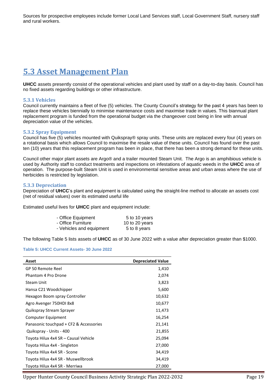Sources for prospective employees include former Local Land Services staff, Local Government Staff, nursery staff and rural workers.

### <span id="page-18-0"></span>**5.3 Asset Management Plan**

**UHCC** assets presently consist of the operational vehicles and plant used by staff on a day-to-day basis. Council has no fixed assets regarding buildings or other infrastructure.

#### <span id="page-18-1"></span>**5.3.1 Vehicles**

Council currently maintains a fleet of five (5) vehicles. The County Council's strategy for the past 4 years has been to replace these vehicles biennially to minimise maintenance costs and maximise trade in values. This biannual plant replacement program is funded from the operational budget via the changeover cost being in line with annual depreciation value of the vehicles.

#### <span id="page-18-2"></span>**5.3.2 Spray Equipment**

Council has five (5) vehicles mounted with Quikspray® spray units. These units are replaced every four (4) years on a rotational basis which allows Council to maximise the resale value of these units. Council has found over the past ten (10) years that this replacement program has been in place, that there has been a strong demand for these units.

Council other major plant assets are Argo® and a trailer mounted Steam Unit. The Argo is an amphibious vehicle is used by Authority staff to conduct treatments and inspections on infestations of aquatic weeds in the **UHCC** area of operation. The purpose-built Steam Unit is used in environmental sensitive areas and urban areas where the use of herbicides is restricted by legislation.

#### <span id="page-18-3"></span>**5.3.3 Depreciation**

Depreciation of **UHCC**'s plant and equipment is calculated using the straight-line method to allocate an assets cost (net of residual values) over its estimated useful life

Estimated useful lives for **UHCC** plant and equipment include:

| - Office Equipment       | 5 to 10 years  |
|--------------------------|----------------|
| - Office Furniture       | 10 to 20 years |
| - Vehicles and equipment | 5 to 8 years   |

The following Table 5 lists assets of **UHCC** as of 30 June 2022 with a value after depreciation greater than \$1000.

#### <span id="page-18-4"></span>**Table 5: UHCC Current Assets- 30 June 2022**

| Asset                                  | <b>Depreciated Value</b> |
|----------------------------------------|--------------------------|
| GP 50 Remote Reel                      | 1,410                    |
| Phantom 4 Pro Drone                    | 2,074                    |
| <b>Steam Unit</b>                      | 3,823                    |
| Hansa C21 Woodchipper                  | 5,600                    |
| Hexagon Boom spray Controller          | 10,632                   |
| Agro Avenger 750HDI 8x8                | 10,677                   |
| Quikspray Stream Sprayer               | 11,473                   |
| Computer Equipment                     | 16,254                   |
| Panasonic touchpad + CF2 & Accessories | 21,141                   |
| Quikspray - Units - 400                | 21,855                   |
| Toyota Hilux 4x4 SR - Causal Vehicle   | 25,094                   |
| Toyota Hilux 4x4 - Singleton           | 27,000                   |
| Toyota Hilux 4x4 SR - Scone            | 34,419                   |
| Toyota Hilux 4x4 SR - Muswellbrook     | 34,419                   |
| Toyota Hilux 4x4 SR - Merriwa          | 27,000                   |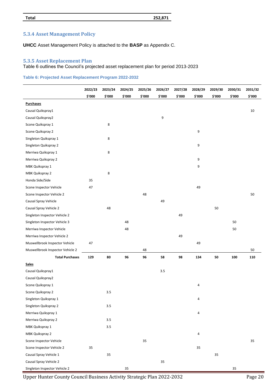#### **Total 252,871**

#### <span id="page-19-0"></span>**5.3.4 Asset Management Policy**

**UHCC** Asset Management Policy is attached to the **BASP** as Appendix C.

#### <span id="page-19-1"></span>**5.3.5 Asset Replacement Plan**

#### Table 6 outlines the Council's projected asset replacement plan for period 2013-2023

#### <span id="page-19-2"></span>**Table 6: Projected Asset Replacement Program 2022-2032**

|                                  | 2022/23 | 2023/24 | 2024/25 | 2025/26 | 2026/27 | 2027/28 | 2028/29 | 2029/30 | 2030/31 | 2031/32 |
|----------------------------------|---------|---------|---------|---------|---------|---------|---------|---------|---------|---------|
|                                  | \$'000  | \$'000  | \$'000  | \$'000  | \$'000  | \$'000  | \$'000  | \$'000  | \$'000  | \$'000  |
| <b>Purchases</b>                 |         |         |         |         |         |         |         |         |         |         |
| Causal Quikspray1                |         |         |         |         |         |         |         |         |         | 10      |
| Causal Quikspray2                |         |         |         |         | 9       |         |         |         |         |         |
| Scone Quikspray 1                |         | 8       |         |         |         |         |         |         |         |         |
| Scone Quikspray 2                |         |         |         |         |         |         | 9       |         |         |         |
| Singleton Quikspray 1            |         | 8       |         |         |         |         |         |         |         |         |
| Singleton Quikspray 2            |         |         |         |         |         |         | 9       |         |         |         |
| Merriwa Quikspray 1              |         | 8       |         |         |         |         |         |         |         |         |
| Merriwa Quikspray 2              |         |         |         |         |         |         | 9       |         |         |         |
| MBK Quikspray 1                  |         |         |         |         |         |         | 9       |         |         |         |
| MBK Quikspray 2                  |         | 8       |         |         |         |         |         |         |         |         |
| Honda Side/Side                  | 35      |         |         |         |         |         |         |         |         |         |
| Scone Inspector Vehicle          | 47      |         |         |         |         |         | 49      |         |         |         |
| Scone Inspector Vehicle 2        |         |         |         | 48      |         |         |         |         |         | 50      |
| Causal Spray Vehicle             |         |         |         |         | 49      |         |         |         |         |         |
| Causal Spray Vehicle 2           |         | 48      |         |         |         |         |         | 50      |         |         |
| Singleton Inspector Vehicle 2    |         |         |         |         |         | 49      |         |         |         |         |
| Singleton Inspector Vehicle 3    |         |         | 48      |         |         |         |         |         | 50      |         |
| Merriwa Inspector Vehicle        |         |         | 48      |         |         |         |         |         | 50      |         |
| Merriwa Inspector Vehicle 2      |         |         |         |         |         | 49      |         |         |         |         |
| Muswellbrook Inspector Vehicle   | 47      |         |         |         |         |         | 49      |         |         |         |
| Muswellbrook Inspector Vehicle 2 |         |         |         | 48      |         |         |         |         |         | 50      |
| <b>Total Purchases</b>           | 129     | 80      | 96      | 96      | 58      | 98      | 134     | 50      | 100     | 110     |
| <b>Sales</b>                     |         |         |         |         |         |         |         |         |         |         |
| Causal Quikspray1                |         |         |         |         | 3.5     |         |         |         |         |         |
| Causal Quikspray2                |         |         |         |         |         |         |         |         |         |         |
| Scone Quikspray 1                |         |         |         |         |         |         | 4       |         |         |         |
| Scone Quikspray 2                |         | 3.5     |         |         |         |         |         |         |         |         |
| Singleton Quikspray 1            |         |         |         |         |         |         | 4       |         |         |         |
| Singleton Quikspray 2            |         | $3.5\,$ |         |         |         |         |         |         |         |         |
| Merriwa Quikspray 1              |         |         |         |         |         |         | 4       |         |         |         |
| Merriwa Quikspray 2              |         | 3.5     |         |         |         |         |         |         |         |         |
| MBK Quikspray 1                  |         | 3.5     |         |         |         |         |         |         |         |         |
| MBK Quikspray 2                  |         |         |         |         |         |         | 4       |         |         |         |
| Scone Inspector Vehicle          |         |         |         | 35      |         |         |         |         |         | 35      |
| Scone Inspector Vehicle 2        | 35      |         |         |         |         |         | 35      |         |         |         |
| Causal Spray Vehicle 1           |         | 35      |         |         |         |         |         | 35      |         |         |
| Causal Spray Vehicle 2           |         |         |         |         | 35      |         |         |         |         |         |
| Singleton Inspector Vehicle 2    |         |         | 35      |         |         |         |         |         | 35      |         |

Upper Hunter County Council Business Activity Strategic Plan 2022-2032 Page 20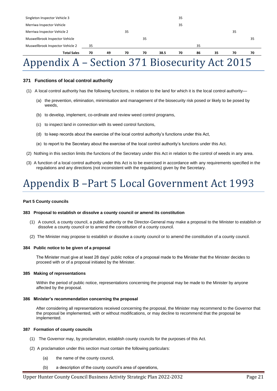| <b>Total Sales</b>               | 70 | 49 | 70 | 70 | 38.5 | 70 | 86 | 35 | 70 | 70 |
|----------------------------------|----|----|----|----|------|----|----|----|----|----|
| Muswellbrook Inspector Vehicle 2 | 35 |    |    |    |      |    | 35 |    |    |    |
| Muswellbrook Inspector Vehicle   |    |    |    | 35 |      |    |    |    |    | 35 |
| Merriwa Inspector Vehicle 2      |    |    | 35 |    |      |    |    |    | 35 |    |
| Merriwa Inspector Vehicle        |    |    |    |    |      | 35 |    |    |    |    |
| Singleton Inspector Vehicle 3    |    |    |    |    |      | 35 |    |    |    |    |

## <span id="page-20-0"></span>Appendix A – Section 371 Biosecurity Act 2015

#### **371 Functions of local control authority**

- (1) A local control authority has the following functions, in relation to the land for which it is the local control authority—
	- (a) the prevention, elimination, minimisation and management of the biosecurity risk posed or likely to be posed by weeds,
	- (b) to develop, implement, co-ordinate and review weed control programs,
	- (c) to inspect land in connection with its weed control functions,
	- (d) to keep records about the exercise of the local control authority's functions under this Act,
	- (e) to report to the Secretary about the exercise of the local control authority's functions under this Act.
- (2) Nothing in this section limits the functions of the Secretary under this Act in relation to the control of weeds in any area.
- (3) A function of a local control authority under this Act is to be exercised in accordance with any requirements specified in the regulations and any directions (not inconsistent with the regulations) given by the Secretary.

# <span id="page-20-1"></span>Appendix B –Part 5 Local Government Act 1993

#### **Part 5 County councils**

#### **383 Proposal to establish or dissolve a county council or amend its constitution**

- (1) A council, a county council, a public authority or the Director-General may make a proposal to the Minister to establish or dissolve a county council or to amend the constitution of a county council.
- (2) The Minister may propose to establish or dissolve a county council or to amend the constitution of a county council.

#### **384 Public notice to be given of a proposal**

The Minister must give at least 28 days' public notice of a proposal made to the Minister that the Minister decides to proceed with or of a proposal initiated by the Minister.

#### **385 Making of representations**

Within the period of public notice, representations concerning the proposal may be made to the Minister by anyone affected by the proposal.

#### **386 Minister's recommendation concerning the proposal**

After considering all representations received concerning the proposal, the Minister may recommend to the Governor that the proposal be implemented, with or without modifications, or may decline to recommend that the proposal be implemented.

#### **387 Formation of county councils**

- (1) The Governor may, by proclamation, establish county councils for the purposes of this Act.
- (2) A proclamation under this section must contain the following particulars:
	- (a) the name of the county council,
	- (b) a description of the county council's area of operations,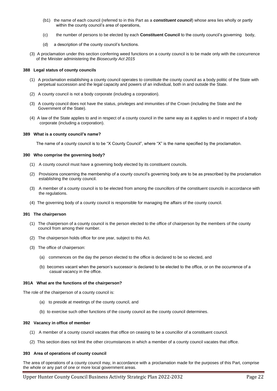- (b1) the name of each council (referred to in this Part as a *constituent council*) whose area lies wholly or partly within the county council's area of operations,
- (c) the number of persons to be elected by each **Constituent Council** to the county council's governing body,
- (d) a description of the county council's functions.
- (3) A proclamation under this section conferring weed functions on a county council is to be made only with the concurrence of the Minister administering the *Biosecurity Act 2015*

#### **388 Legal status of county councils**

- (1) A proclamation establishing a county council operates to constitute the county council as a body politic of the State with perpetual succession and the legal capacity and powers of an individual, both in and outside the State.
- (2) A county council is not a body corporate (including a corporation).
- (3) A county council does not have the status, privileges and immunities of the Crown (including the State and the Government of the State).
- (4) A law of the State applies to and in respect of a county council in the same way as it applies to and in respect of a body corporate (including a corporation).

#### **389 What is a county council's name?**

The name of a county council is to be "X County Council", where "X" is the name specified by the proclamation.

#### **390 Who comprise the governing body?**

- (1) A county council must have a governing body elected by its constituent councils.
- (2) Provisions concerning the membership of a county council's governing body are to be as prescribed by the proclamation establishing the county council.
- (3) A member of a county council is to be elected from among the councillors of the constituent councils in accordance with the regulations.
- (4) The governing body of a county council is responsible for managing the affairs of the county council.

#### **391 The chairperson**

- (1) The chairperson of a county council is the person elected to the office of chairperson by the members of the county council from among their number.
- (2) The chairperson holds office for one year, subject to this Act.
- (3) The office of chairperson:
	- (a) commences on the day the person elected to the office is declared to be so elected, and
	- (b) becomes vacant when the person's successor is declared to be elected to the office, or on the occurrence of a casual vacancy in the office.

#### **391A What are the functions of the chairperson?**

The role of the chairperson of a county council is:

- (a) to preside at meetings of the county council, and
- (b) to exercise such other functions of the county council as the county council determines.

#### **392 Vacancy in office of member**

- (1) A member of a county council vacates that office on ceasing to be a councillor of a constituent council.
- (2) This section does not limit the other circumstances in which a member of a county council vacates that office.

#### **393 Area of operations of county council**

The area of operations of a county council may, in accordance with a proclamation made for the purposes of this Part, comprise the whole or any part of one or more local government areas.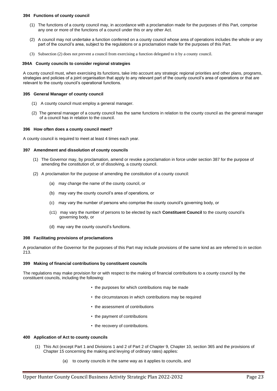#### **394 Functions of county council**

- (1) The functions of a county council may, in accordance with a proclamation made for the purposes of this Part, comprise any one or more of the functions of a council under this or any other Act.
- (2) A council may not undertake a function conferred on a county council whose area of operations includes the whole or any part of the council's area, subject to the regulations or a proclamation made for the purposes of this Part.
- (3) Subsection (2) does not prevent a council from exercising a function delegated to it by a county council.

#### **394A County councils to consider regional strategies**

A county council must, when exercising its functions, take into account any strategic regional priorities and other plans, programs, strategies and policies of a joint organisation that apply to any relevant part of the county council's area of operations or that are relevant to the county council's operational functions.

#### **395 General Manager of county council**

- (1) A county council must employ a general manager.
- (2) The general manager of a county council has the same functions in relation to the county council as the general manager of a council has in relation to the council.

#### **396 How often does a county council meet?**

A county council is required to meet at least 4 times each year.

#### **397 Amendment and dissolution of county councils**

- (1) The Governor may, by proclamation, amend or revoke a proclamation in force under section 387 for the purpose of amending the constitution of, or of dissolving, a county council.
- (2) A proclamation for the purpose of amending the constitution of a county council:
	- (a) may change the name of the county council, or
	- (b) may vary the county council's area of operations, or
	- (c) may vary the number of persons who comprise the county council's governing body, or
	- (c1) may vary the number of persons to be elected by each **Constituent Council** to the county council's governing body, or
	- (d) may vary the county council's functions.

#### **398 Facilitating provisions of proclamations**

A proclamation of the Governor for the purposes of this Part may include provisions of the same kind as are referred to in section 213.

#### **399 Making of financial contributions by constituent councils**

The regulations may make provision for or with respect to the making of financial contributions to a county council by the constituent councils, including the following:

- the purposes for which contributions may be made
- the circumstances in which contributions may be required
- the assessment of contributions
- the payment of contributions
- the recovery of contributions.

#### **400 Application of Act to county councils**

- (1) This Act (except Part 1 and Divisions 1 and 2 of Part 2 of Chapter 9, Chapter 10, section 365 and the provisions of Chapter 15 concerning the making and levying of ordinary rates) applies:
	- (a) to county councils in the same way as it applies to councils, and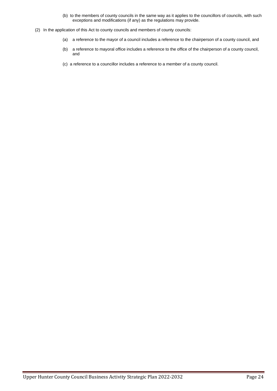- (b) to the members of county councils in the same way as it applies to the councillors of councils, with such exceptions and modifications (if any) as the regulations may provide.
- (2) In the application of this Act to county councils and members of county councils:
	- (a) a reference to the mayor of a council includes a reference to the chairperson of a county council, and
	- (b) a reference to mayoral office includes a reference to the office of the chairperson of a county council, and
	- (c) a reference to a councillor includes a reference to a member of a county council.